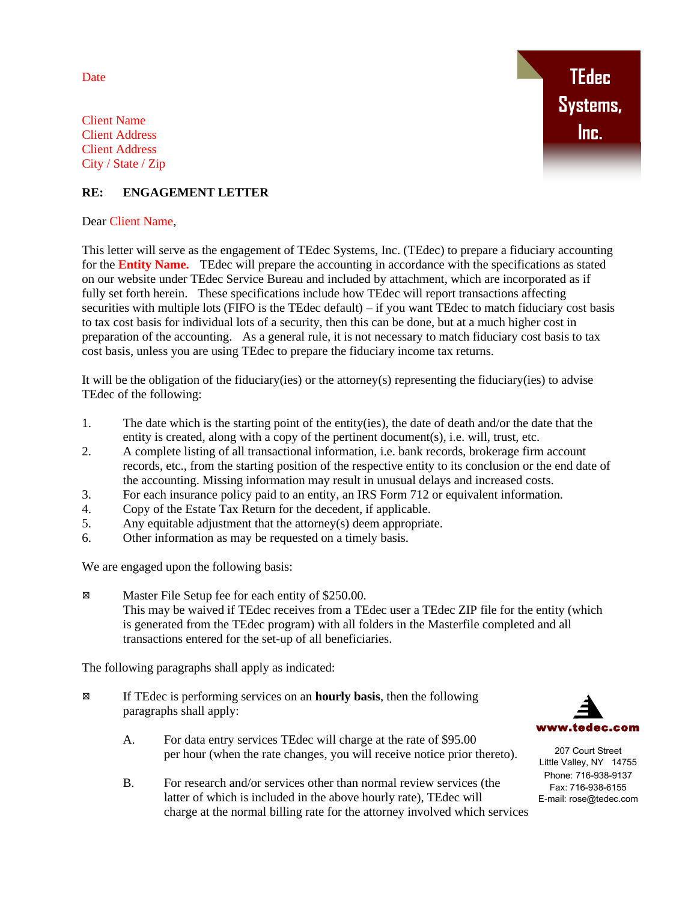Date

**TEdec Systems, Inc.**

Client Name Client Address Client Address City / State / Zip

## **RE: ENGAGEMENT LETTER**

Dear Client Name,

This letter will serve as the engagement of TEdec Systems, Inc. (TEdec) to prepare a fiduciary accounting for the **Entity Name.** TEdec will prepare the accounting in accordance with the specifications as stated on our website under TEdec Service Bureau and included by attachment, which are incorporated as if fully set forth herein. These specifications include how TEdec will report transactions affecting securities with multiple lots (FIFO is the TEdec default) – if you want TEdec to match fiduciary cost basis to tax cost basis for individual lots of a security, then this can be done, but at a much higher cost in preparation of the accounting. As a general rule, it is not necessary to match fiduciary cost basis to tax cost basis, unless you are using TEdec to prepare the fiduciary income tax returns.

It will be the obligation of the fiduciary(ies) or the attorney(s) representing the fiduciary(ies) to advise TEdec of the following:

- 1. The date which is the starting point of the entity(ies), the date of death and/or the date that the entity is created, along with a copy of the pertinent document(s), i.e. will, trust, etc.
- 2. A complete listing of all transactional information, i.e. bank records, brokerage firm account records, etc., from the starting position of the respective entity to its conclusion or the end date of the accounting. Missing information may result in unusual delays and increased costs.
- 3. For each insurance policy paid to an entity, an IRS Form 712 or equivalent information.
- 4. Copy of the Estate Tax Return for the decedent, if applicable.
- 5. Any equitable adjustment that the attorney(s) deem appropriate.
- 6. Other information as may be requested on a timely basis.

We are engaged upon the following basis:

Master File Setup fee for each entity of \$250.00. This may be waived if TEdec receives from a TEdec user a TEdec ZIP file for the entity (which is generated from the TEdec program) with all folders in the Masterfile completed and all transactions entered for the set-up of all beneficiaries.

The following paragraphs shall apply as indicated:

- If TEdec is performing services on an **hourly basis**, then the following paragraphs shall apply:
	- A. For data entry services TEdec will charge at the rate of \$95.00 per hour (when the rate changes, you will receive notice prior thereto).
	- B. For research and/or services other than normal review services (the latter of which is included in the above hourly rate), TEdec will charge at the normal billing rate for the attorney involved which services



207 Court Street Little Valley, NY 14755 Phone: 716-938-9137 Fax: 716-938-6155 E-mail: rose@tedec.com